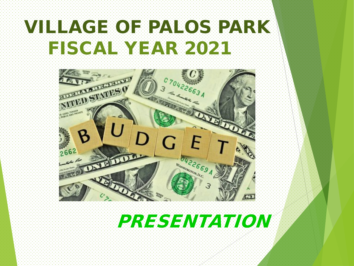# VILLAGE OF PALOS PARK FISCAL YEAR 2021



## PRESENTATION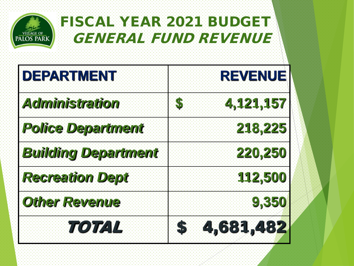

### FISCAL YEAR 2021 BUDGET GENERAL FUND REVENUE

| <b>DEPARTMENT</b>          | <b>REVENUE</b>  |
|----------------------------|-----------------|
| <b>Administration</b>      | 4,121,157<br>S  |
| <b>Police Department</b>   | 218,225         |
| <b>Building Department</b> | 220,250         |
| <b>Recreation Dept</b>     | 112,500         |
| <b>Other Revenue</b>       | 9,350           |
| 707/274                    | 4,681,482<br>SH |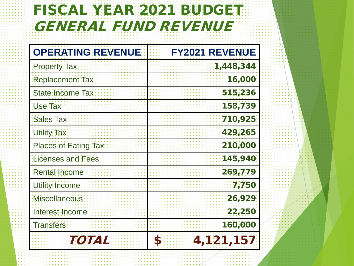### FISCAL YEAR 2021 BUDGET GENERAL FUND REVENUE

| <b>OPERATING REVENUE</b>    | <b>FY2021 REVENUE</b> |
|-----------------------------|-----------------------|
| <b>Property Tax</b>         | 1,448,344             |
| <b>Replacement Tax</b>      | 16,000                |
| <b>State Income Tax</b>     | 515,236               |
| <b>Use Tax</b>              | 158,739               |
| <b>Sales Tax</b>            | 710,925               |
| <b>Utility Tax</b>          | 429,265               |
| <b>Places of Eating Tax</b> | 210,000               |
| <b>Licenses and Fees</b>    | 145,940               |
| <b>Rental Income</b>        | 269,779               |
| <b>Utility Income</b>       | 7,750                 |
| <b>Miscellaneous</b>        | 26,929                |
| Interest Income             | 22,250                |
| <b>Transfers</b>            | 160,000               |
| TOTA I                      | 4,121,157<br>S        |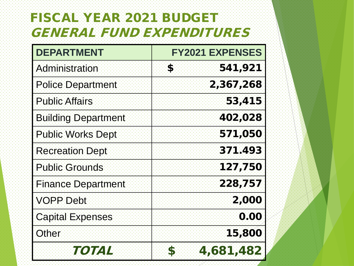#### FISCAL YEAR 2021 BUDGET GENERAL FUND EXPENDITURES

| <b>DEPARTMENT</b>          | <b>FY2021 EXPENSES</b> |
|----------------------------|------------------------|
| Administration             | 541,921<br>\$          |
| <b>Police Department</b>   | 2,367,268              |
| <b>Public Affairs</b>      | 53,415                 |
| <b>Building Department</b> | 402,028                |
| <b>Public Works Dept</b>   | 571,050                |
| <b>Recreation Dept</b>     | 371.493                |
| <b>Public Grounds</b>      | 127,750                |
| <b>Finance Department</b>  | 228,757                |
| VOPP Debt                  | 2,000                  |
| <b>Capital Expenses</b>    | 0.00                   |
| Other                      | <b>15,800</b>          |
| <i>i koj va</i> ya         | 4,681,482<br>S         |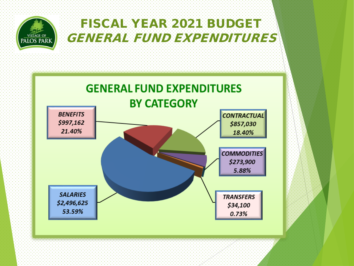

#### FISCAL YEAR 2021 BUDGET GENERAL FUND EXPENDITURES

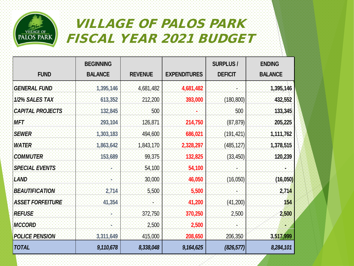

#### VILLAGE OF PALOS PARK FISCAL YEAR 2021 BUDGET

|                         | <b>BEGINNING</b> |                |                     | <b>SURPLUS/</b> | <b>ENDING</b>  |
|-------------------------|------------------|----------------|---------------------|-----------------|----------------|
| <b>FUND</b>             | <b>BALANCE</b>   | <b>REVENUE</b> | <b>EXPENDITURES</b> | <b>DEFICIT</b>  | <b>BALANCE</b> |
| <b>GENERAL FUND</b>     | 1,395,146        | 4,681,482      | 4,681,482           |                 | 1,395,146      |
| 1/2% SALES TAX          | 613,352          | 212,200        | 393,000             | (180, 800)      | 432,552        |
| <b>CAPITAL PROJECTS</b> | 132,845          | 500            |                     | 500             | 133,345        |
| <b>MET</b>              | 293,104          | 126,871        | 214,750             | (87, 879)       | 205,225        |
| <b>SEWER</b>            | 1,303,183        | 494,600        | 686,021             | (191, 421)      | 1,111,762      |
| <b>WATER</b>            | 1,863,642        | 1,843,170      | 2,328,297           | (485, 127)      | 1,378,515      |
| <b>COMMUTER</b>         | 153,689          | 99,375         | 132,825             | (33, 450)       | 120,239        |
| <b>SPECIAL EVENTS</b>   |                  | 54,100         | 54,100              |                 |                |
| <b>LAND</b>             |                  | 30,000         | 46,050              | (16,050)        | (16, 050)      |
| <b>BEAUTIFICATION</b>   | 2,714            | 5,500          | 5,500               |                 | 2,714          |
| <b>ASSET FORFEITURE</b> | 41,354           |                | 41,200              | (41, 200)       | 154            |
| <b>REFUSE</b>           |                  | 372,750        | 370,250             | 2,500           | 2,500          |
| <b>MCCORD</b>           |                  | 2,500          | 2,500               |                 |                |
| <b>POLICE PENSION</b>   | 3,311,649        | 415,000        | 208,650             | 206,350         | 3,517,999      |
| <b>TOTAL</b>            | 9,110,678        | 8,338,048      | 9,164,625           | (826, 577)      | 8,284,101      |